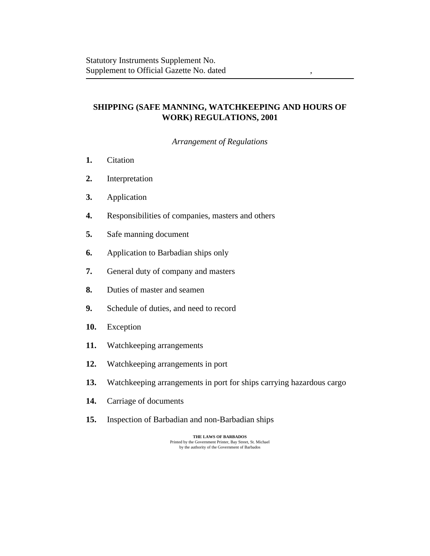# **SHIPPING (SAFE MANNING, WATCHKEEPING AND HOURS OF WORK) REGULATIONS, 2001**

*Arrangement of Regulations*

- [Citation](#page-2-0) **1.**
- [Interpretation](#page-2-0) **2.**
- [Application](#page-4-0) **3.**
- [Responsibilities of companies, masters and others](#page-4-0) **4.**
- [Safe manning document](#page-6-0) **5.**
- [Application to Barbadian ships only](#page-7-0) **6.**
- [General duty of company and masters](#page-7-0) **7.**
- [Duties of master and seamen](#page-7-0) **8.**
- [Schedule of duties, and need to record](#page-7-0) **9.**
- [Exception](#page-9-0) **10.**
- [Watchkeeping arrangements](#page-10-0) **11.**
- [Watchkeeping arrangements in port](#page-10-0) **12.**
- [Watchkeeping arrangements in port for ships carrying hazardous cargo](#page-11-0) **13.**
- [Carriage of documents](#page-11-0) **14.**
- [Inspection of Barbadian and non-Barbadian ships](#page-11-0) **15.**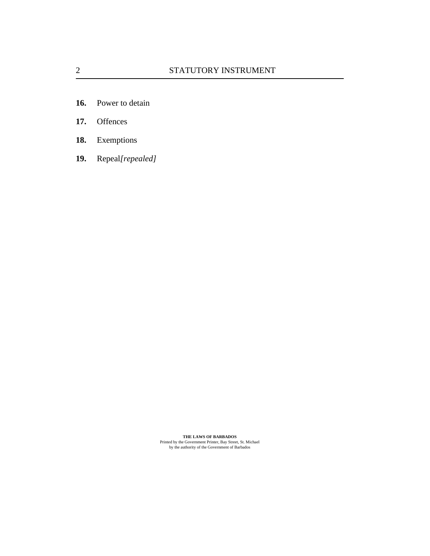- [Power to detain](#page-13-0) **16.**
- **[Offences](#page-13-0) 17.**
- [Exemptions](#page-14-0) **18.**
- Repeal*[\[repealed\]](#page-14-0)* **19.**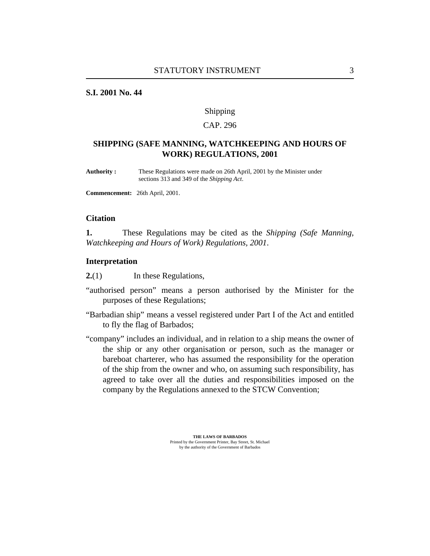## <span id="page-2-0"></span>**S.I. 2001 No. 44**

#### Shipping

## CAP. 296

## **SHIPPING (SAFE MANNING, WATCHKEEPING AND HOURS OF WORK) REGULATIONS, 2001**

These Regulations were made on 26th April, 2001 by the Minister under sections 313 and 349 of the *Shipping Act*. **Authority :**

**Commencement:** 26th April, 2001.

#### **Citation**

These Regulations may be cited as the *Shipping (Safe Manning, Watchkeeping and Hours of Work) Regulations, 2001*. **1.**

#### **Interpretation**

In these Regulations, **2.**(1)

- "authorised person" means a person authorised by the Minister for the purposes of these Regulations;
- "Barbadian ship" means a vessel registered under Part I of the Act and entitled to fly the flag of Barbados;
- "company" includes an individual, and in relation to a ship means the owner of the ship or any other organisation or person, such as the manager or bareboat charterer, who has assumed the responsibility for the operation of the ship from the owner and who, on assuming such responsibility, has agreed to take over all the duties and responsibilities imposed on the company by the Regulations annexed to the STCW Convention;

**THE LAWS OF BARBADOS**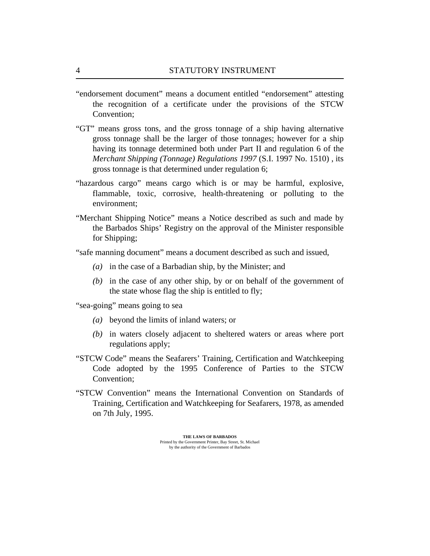- "endorsement document" means a document entitled "endorsement" attesting the recognition of a certificate under the provisions of the STCW Convention;
- "GT" means gross tons, and the gross tonnage of a ship having alternative gross tonnage shall be the larger of those tonnages; however for a ship having its tonnage determined both under Part II and regulation 6 of the *[Merchant Shipping \(Tonnage\) Regulations 1997](http://vm-lims2008:8480/en/showdoc/cr/)* (S.I. 1997 No. 1510) , its gross tonnage is that determined under [regulation 6](#page-7-0);
- "hazardous cargo" means cargo which is or may be harmful, explosive, flammable, toxic, corrosive, health-threatening or polluting to the environment;
- "Merchant Shipping Notice" means a Notice described as such and made by the Barbados Ships' Registry on the approval of the Minister responsible for Shipping;
- "safe manning document" means a document described as such and issued,
	- in the case of a Barbadian ship, by the Minister; and *(a)*
	- $(b)$  in the case of any other ship, by or on behalf of the government of the state whose flag the ship is entitled to fly;
- "sea-going" means going to sea
	- beyond the limits of inland waters; or *(a)*
	- (b) in waters closely adjacent to sheltered waters or areas where port regulations apply;
- "STCW Code" means the Seafarers' Training, Certification and Watchkeeping Code adopted by the 1995 Conference of Parties to the STCW Convention;
- "STCW Convention" means the International Convention on Standards of Training, Certification and Watchkeeping for Seafarers, 1978, as amended on 7th July, 1995.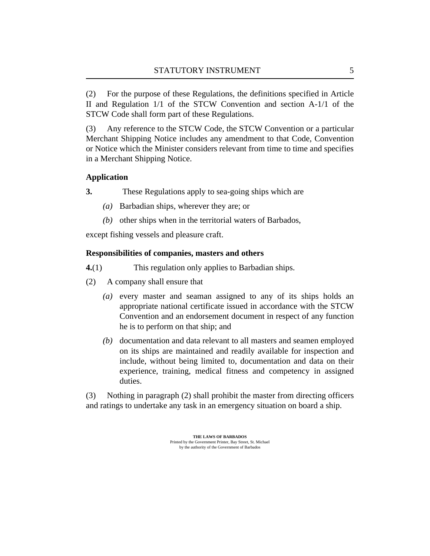<span id="page-4-0"></span>For the purpose of these Regulations, the definitions specified in Article II and Regulation 1/1 of the STCW Convention and section A-1/1 of the STCW Code shall form part of these Regulations. (2)

Any reference to the STCW Code, the STCW Convention or a particular Merchant Shipping Notice includes any amendment to that Code, Convention or Notice which the Minister considers relevant from time to time and specifies in a Merchant Shipping Notice. (3)

## **Application**

- These Regulations apply to sea-going ships which are **3.**
	- Barbadian ships, wherever they are; or *(a)*
	- (b) other ships when in the territorial waters of Barbados,

except fishing vessels and pleasure craft.

## **Responsibilities of companies, masters and others**

- This regulation only applies to Barbadian ships. **4.**(1)
- A company shall ensure that (2)
	- (a) every master and seaman assigned to any of its ships holds an appropriate national certificate issued in accordance with the STCW Convention and an endorsement document in respect of any function he is to perform on that ship; and
	- (b) documentation and data relevant to all masters and seamen employed on its ships are maintained and readily available for inspection and include, without being limited to, documentation and data on their experience, training, medical fitness and competency in assigned duties.

Nothing in paragraph (2) shall prohibit the master from directing officers and ratings to undertake any task in an emergency situation on board a ship. (3)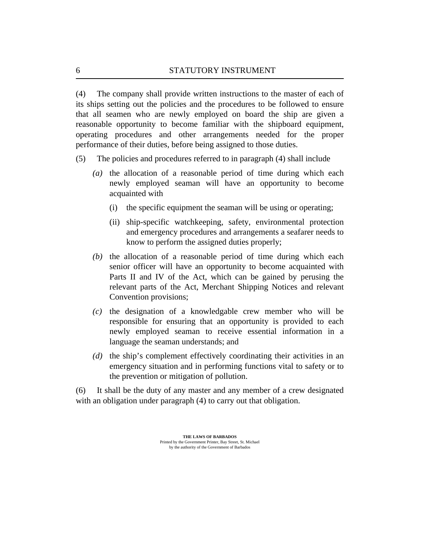<span id="page-5-0"></span>The company shall provide written instructions to the master of each of its ships setting out the policies and the procedures to be followed to ensure that all seamen who are newly employed on board the ship are given a reasonable opportunity to become familiar with the shipboard equipment, operating procedures and other arrangements needed for the proper performance of their duties, before being assigned to those duties. (4)

- The policies and procedures referred to in paragraph (4) shall include (5)
	- (a) the allocation of a reasonable period of time during which each newly employed seaman will have an opportunity to become acquainted with
		- the specific equipment the seaman will be using or operating; (i)
		- (ii) ship-specific watchkeeping, safety, environmental protection and emergency procedures and arrangements a seafarer needs to know to perform the assigned duties properly;
	- $(t)$  the allocation of a reasonable period of time during which each senior officer will have an opportunity to become acquainted with Parts II and IV of the Act, which can be gained by perusing the relevant parts of the Act, Merchant Shipping Notices and relevant Convention provisions;
	- $(c)$  the designation of a knowledgable crew member who will be responsible for ensuring that an opportunity is provided to each newly employed seaman to receive essential information in a language the seaman understands; and
	- (d) the ship's complement effectively coordinating their activities in an emergency situation and in performing functions vital to safety or to the prevention or mitigation of pollution.

It shall be the duty of any master and any member of a crew designated with an obligation under paragraph (4) to carry out that obligation. (6)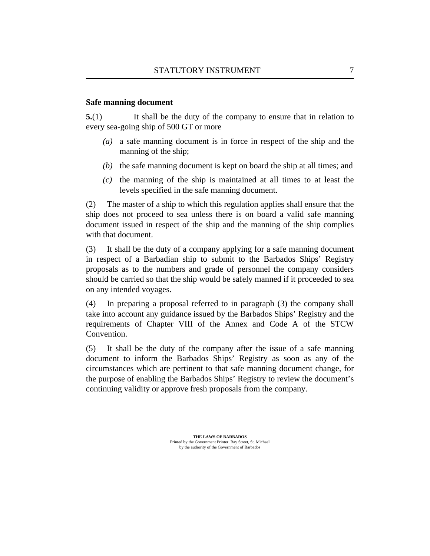## <span id="page-6-0"></span>**Safe manning document**

It shall be the duty of the company to ensure that in relation to every sea-going ship of 500 GT or more **5.**(1)

- a safe manning document is in force in respect of the ship and the *(a)* manning of the ship;
- $(b)$  the safe manning document is kept on board the ship at all times; and
- $\alpha$  the manning of the ship is maintained at all times to at least the levels specified in the safe manning document.

The master of a ship to which this regulation applies shall ensure that the ship does not proceed to sea unless there is on board a valid safe manning document issued in respect of the ship and the manning of the ship complies with that document. (2)

It shall be the duty of a company applying for a safe manning document in respect of a Barbadian ship to submit to the Barbados Ships' Registry proposals as to the numbers and grade of personnel the company considers should be carried so that the ship would be safely manned if it proceeded to sea on any intended voyages. (3)

In preparing a proposal referred to in paragraph (3) the company shall take into account any guidance issued by the Barbados Ships' Registry and the requirements of Chapter VIII of the Annex and Code A of the STCW Convention. (4)

It shall be the duty of the company after the issue of a safe manning document to inform the Barbados Ships' Registry as soon as any of the circumstances which are pertinent to that safe manning document change, for the purpose of enabling the Barbados Ships' Registry to review the document's continuing validity or approve fresh proposals from the company. (5)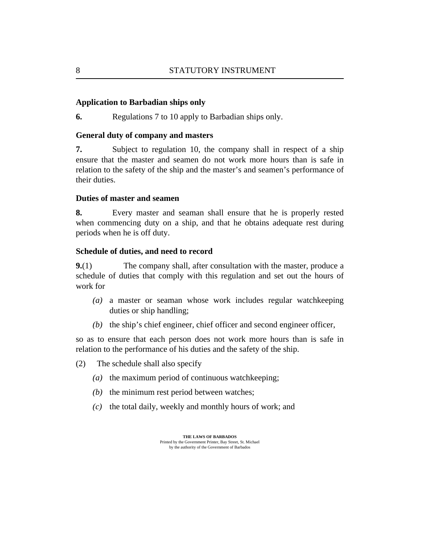### <span id="page-7-0"></span>**Application to Barbadian ships only**

Regulations 7 to [10](#page-9-0) apply to Barbadian ships only. **6.**

### **General duty of company and masters**

Subject to [regulation 10,](#page-9-0) the company shall in respect of a ship ensure that the master and seamen do not work more hours than is safe in relation to the safety of the ship and the master's and seamen's performance of their duties. **7.**

### **Duties of master and seamen**

Every master and seaman shall ensure that he is properly rested when commencing duty on a ship, and that he obtains adequate rest during periods when he is off duty. **8.**

#### **Schedule of duties, and need to record**

The company shall, after consultation with the master, produce a schedule of duties that comply with this regulation and set out the hours of work for **9.**(1)

- a master or seaman whose work includes regular watchkeeping *(a)* duties or ship handling;
- $(b)$  the ship's chief engineer, chief officer and second engineer officer,

so as to ensure that each person does not work more hours than is safe in relation to the performance of his duties and the safety of the ship.

- The schedule shall also specify (2)
	- ( $a$ ) the maximum period of continuous watchkeeping;
	- $(b)$  the minimum rest period between watches;
	- $(c)$  the total daily, weekly and monthly hours of work; and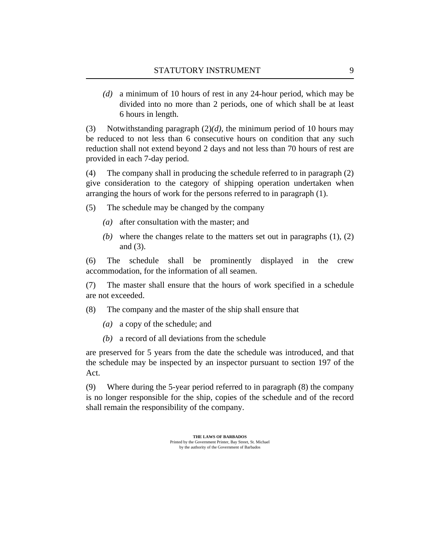<span id="page-8-0"></span>a minimum of 10 hours of rest in any 24-hour period, which may be *(d)* divided into no more than 2 periods, one of which shall be at least 6 hours in length.

Notwithstanding paragraph (2)*(d),* the minimum period of 10 hours may be reduced to not less than 6 consecutive hours on condition that any such reduction shall not extend beyond 2 days and not less than 70 hours of rest are provided in each 7-day period. (3)

The company shall in producing the schedule referred to in paragraph (2) give consideration to the category of shipping operation undertaken when arranging the hours of work for the persons referred to in paragraph (1). (4)

The schedule may be changed by the company (5)

- (a) after consultation with the master; and
- (b) where the changes relate to the matters set out in paragraphs  $(1)$ ,  $(2)$ and (3).

The schedule shall be prominently displayed in the crew accommodation, for the information of all seamen. (6)

The master shall ensure that the hours of work specified in a schedule are not exceeded. (7)

- The company and the master of the ship shall ensure that (8)
	- a copy of the schedule; and *(a)*
	- a record of all deviations from the schedule *(b)*

are preserved for 5 years from the date the schedule was introduced, and that the schedule may be inspected by an inspector pursuant to section 197 of the Act.

Where during the 5-year period referred to in paragraph (8) the company is no longer responsible for the ship, copies of the schedule and of the record shall remain the responsibility of the company. (9)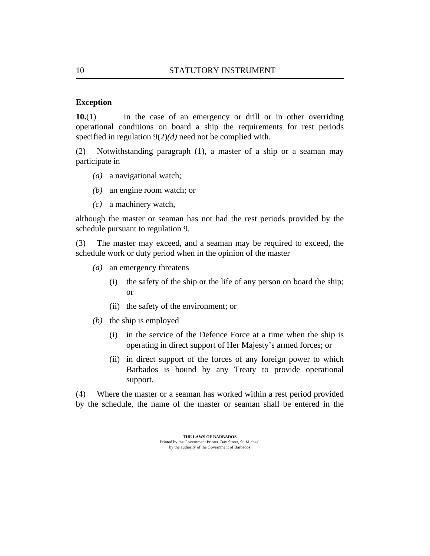### <span id="page-9-0"></span>**Exception**

In the case of an emergency or drill or in other overriding operational conditions on board a ship the requirements for rest periods specified in [regulation 9\(2\)](#page-8-0)*(d)* need not be complied with. **10.**(1)

Notwithstanding paragraph (1), a master of a ship or a seaman may participate in (2)

- (a) a navigational watch;
- an engine room watch; or *(b)*
- a machinery watch, *(c)*

although the master or seaman has not had the rest periods provided by the schedule pursuant to [regulation 9](#page-7-0).

The master may exceed, and a seaman may be required to exceed, the schedule work or duty period when in the opinion of the master (3)

- an emergency threatens *(a)*
	- (i) the safety of the ship or the life of any person on board the ship; or
	- (ii) the safety of the environment; or
- $(b)$  the ship is employed
	- (i) in the service of the Defence Force at a time when the ship is operating in direct support of Her Majesty's armed forces; or
	- (ii) in direct support of the forces of any foreign power to which Barbados is bound by any Treaty to provide operational support.

Where the master or a seaman has worked within a rest period provided by the schedule, the name of the master or seaman shall be entered in the (4)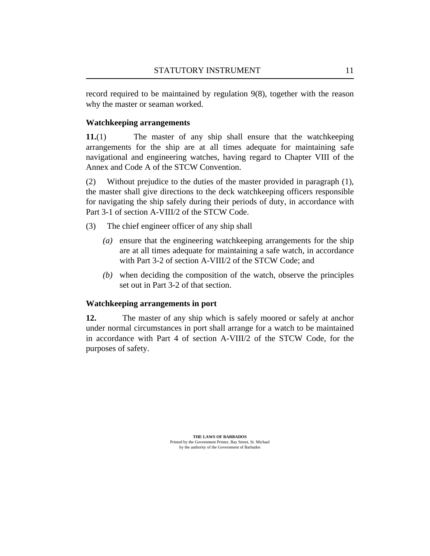<span id="page-10-0"></span>record required to be maintained by [regulation 9\(8\)](#page-8-0), together with the reason why the master or seaman worked.

## **Watchkeeping arrangements**

The master of any ship shall ensure that the watchkeeping arrangements for the ship are at all times adequate for maintaining safe navigational and engineering watches, having regard to Chapter VIII of the Annex and Code A of the STCW Convention. **11.**(1)

Without prejudice to the duties of the master provided in paragraph (1), the master shall give directions to the deck watchkeeping officers responsible for navigating the ship safely during their periods of duty, in accordance with Part 3-1 of section A-VIII/2 of the STCW Code. (2)

- The chief engineer officer of any ship shall (3)
	- (a) ensure that the engineering watchkeeping arrangements for the ship are at all times adequate for maintaining a safe watch, in accordance with Part 3-2 of section A-VIII/2 of the STCW Code; and
	- when deciding the composition of the watch, observe the principles *(b)* set out in Part 3-2 of that section.

## **Watchkeeping arrangements in port**

The master of any ship which is safely moored or safely at anchor under normal circumstances in port shall arrange for a watch to be maintained in accordance with Part 4 of section A-VIII/2 of the STCW Code, for the purposes of safety. **12.**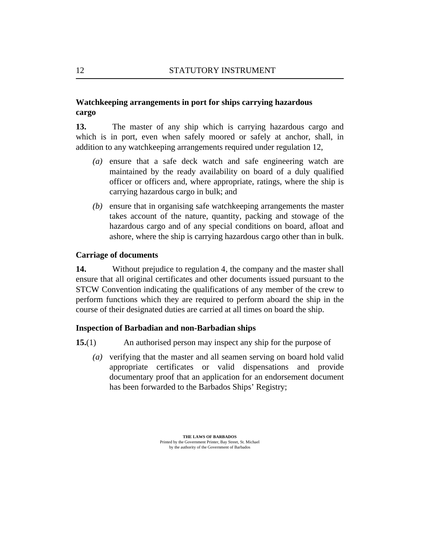## <span id="page-11-0"></span>**Watchkeeping arrangements in port for ships carrying hazardous cargo**

The master of any ship which is carrying hazardous cargo and which is in port, even when safely moored or safely at anchor, shall, in addition to any watchkeeping arrangements required under [regulation 12](#page-10-0), **13.**

- (a) ensure that a safe deck watch and safe engineering watch are maintained by the ready availability on board of a duly qualified officer or officers and, where appropriate, ratings, where the ship is carrying hazardous cargo in bulk; and
- (b) ensure that in organising safe watchkeeping arrangements the master takes account of the nature, quantity, packing and stowage of the hazardous cargo and of any special conditions on board, afloat and ashore, where the ship is carrying hazardous cargo other than in bulk.

### **Carriage of documents**

Without prejudice to [regulation 4](#page-4-0), the company and the master shall ensure that all original certificates and other documents issued pursuant to the STCW Convention indicating the qualifications of any member of the crew to perform functions which they are required to perform aboard the ship in the course of their designated duties are carried at all times on board the ship. **14.**

### **Inspection of Barbadian and non-Barbadian ships**

- An authorised person may inspect any ship for the purpose of **15.**(1)
	- (a) verifying that the master and all seamen serving on board hold valid appropriate certificates or valid dispensations and provide documentary proof that an application for an endorsement document has been forwarded to the Barbados Ships' Registry;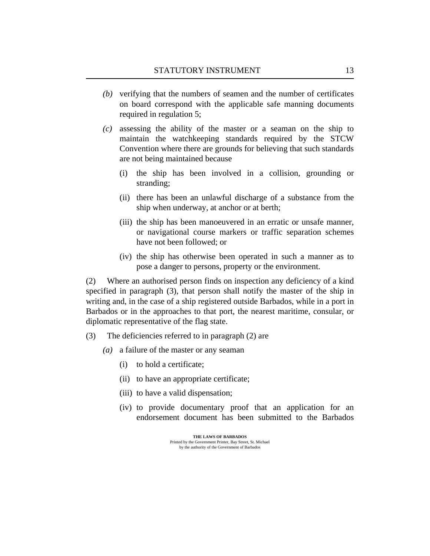- <span id="page-12-0"></span>(b) verifying that the numbers of seamen and the number of certificates on board correspond with the applicable safe manning documents required in [regulation 5](#page-6-0);
- assessing the ability of the master or a seaman on the ship to *(c)* maintain the watchkeeping standards required by the STCW Convention where there are grounds for believing that such standards are not being maintained because
	- the ship has been involved in a collision, grounding or stranding; (i)
	- (ii) there has been an unlawful discharge of a substance from the ship when underway, at anchor or at berth;
	- (iii) the ship has been manoeuvered in an erratic or unsafe manner, or navigational course markers or traffic separation schemes have not been followed; or
	- (iv) the ship has otherwise been operated in such a manner as to pose a danger to persons, property or the environment.

Where an authorised person finds on inspection any deficiency of a kind specified in paragraph (3), that person shall notify the master of the ship in writing and, in the case of a ship registered outside Barbados, while in a port in Barbados or in the approaches to that port, the nearest maritime, consular, or diplomatic representative of the flag state. (2)

- The deficiencies referred to in paragraph (2) are (3)
	- a failure of the master or any seaman *(a)*
		- (i) to hold a certificate;
		- (ii) to have an appropriate certificate;
		- (iii) to have a valid dispensation;
		- (iv) to provide documentary proof that an application for an endorsement document has been submitted to the Barbados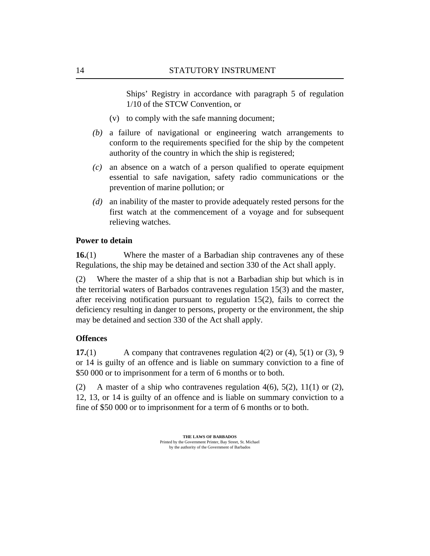<span id="page-13-0"></span>Ships' Registry in accordance with paragraph 5 of regulation 1/10 of the STCW Convention, or

- (v) to comply with the safe manning document;
- a failure of navigational or engineering watch arrangements to *(b)* conform to the requirements specified for the ship by the competent authority of the country in which the ship is registered;
- an absence on a watch of a person qualified to operate equipment *(c)* essential to safe navigation, safety radio communications or the prevention of marine pollution; or
- an inability of the master to provide adequately rested persons for the *(d)* first watch at the commencement of a voyage and for subsequent relieving watches.

### **Power to detain**

Where the master of a Barbadian ship contravenes any of these Regulations, the ship may be detained and section 330 of the Act shall apply. **16.**(1)

Where the master of a ship that is not a Barbadian ship but which is in the territorial waters of Barbados contravenes [regulation 15\(3\)](#page-12-0) and the master, after receiving notification pursuant to [regulation 15\(2\)](#page-12-0), fails to correct the deficiency resulting in danger to persons, property or the environment, the ship may be detained and section 330 of the Act shall apply. (2)

## **Offences**

A company that contravenes regulation  $4(2)$  or  $(4)$ ,  $5(1)$  or  $(3)$ , [9](#page-7-0) or [14](#page-11-0) is guilty of an offence and is liable on summary conviction to a fine of \$50 000 or to imprisonment for a term of 6 months or to both. **17.**(1)

A master of a ship who contravenes [regulation 4\(6\),](#page-5-0) [5\(2\)](#page-6-0), [11\(1\)](#page-10-0) or [\(2\),](#page-10-0) [12,](#page-10-0) [13,](#page-11-0) or [14](#page-11-0) is guilty of an offence and is liable on summary conviction to a fine of \$50 000 or to imprisonment for a term of 6 months or to both. (2)